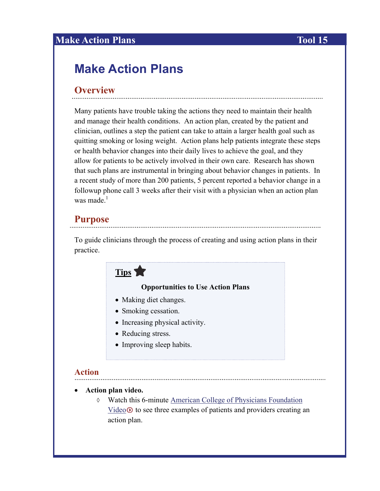## **Make Action Plans** Tool 15

# **Make Action Plans**

### **Overview**

Many patients have trouble taking the actions they need to maintain their health and manage their health conditions. An action plan, created by the patient and clinician, outlines a step the patient can take to attain a larger health goal such as quitting smoking or losing weight. Action plans help patients integrate these steps or health behavior changes into their daily lives to achieve the goal, and they allow for patients to be actively involved in their own care. Research has shown that such plans are instrumental in bringing about behavior changes in patients. In a recent study of more than 200 patients, 5 percent reported a behavior change in a followup phone call 3 weeks after their visit with a physician when an action plan was made. $<sup>1</sup>$ </sup>

#### **Purpose**

To guide clinicians through the process of creating and using action plans in their practice.

## **Tips**

#### **Opportunities to Use Action Plans**

- Making diet changes.
- Smoking cessation.
- Increasing physical activity.
- Reducing stress.
- Improving sleep habits.

#### **Action**

#### **Action plan video.**

 Watch this 6-minute [American College of Physicians Foundation](http://acpfoundation.org/hl/diabguide.htm)   $Video \Phi$  $Video \Phi$  to see three examples of patients and providers creating an action plan.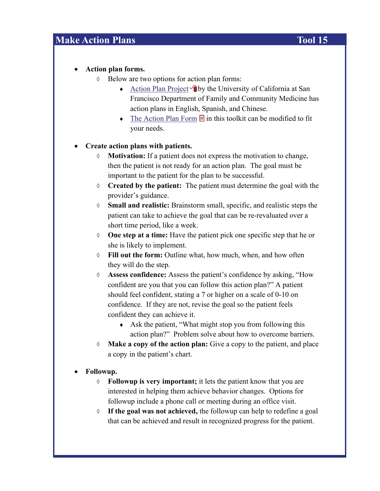## **Make Action Plans** Tool 15

#### **Action plan forms.**

- $\Diamond$  Below are two options for action plan forms:
	- [Action Plan Project](http://www.familymedicine.medschool.ucsf.edu/community_service/actionPlan.aspx)  $\bigcirc$  by the University of California at San Francisco Department of Family and Community Medicine has action plans in English, Spanish, and Chinese.
	- $\triangleright$  [The Action Plan Form](http://www.nchealthliteracy.org/toolkit/tool15A.doc)  $\blacksquare$  in this toolkit can be modified to fit your needs.

#### **Create action plans with patients.**

- **Motivation:** If a patient does not express the motivation to change, then the patient is not ready for an action plan. The goal must be important to the patient for the plan to be successful.
- **Created by the patient:** The patient must determine the goal with the provider's guidance.
- **Small and realistic:** Brainstorm small, specific, and realistic steps the patient can take to achieve the goal that can be re-revaluated over a short time period, like a week.
- **One step at a time:** Have the patient pick one specific step that he or she is likely to implement.
- **Fill out the form:** Outline what, how much, when, and how often they will do the step.
- **Assess confidence:** Assess the patient's confidence by asking, "How confident are you that you can follow this action plan?" A patient should feel confident, stating a 7 or higher on a scale of 0-10 on confidence. If they are not, revise the goal so the patient feels confident they can achieve it.
	- Ask the patient, "What might stop you from following this action plan?" Problem solve about how to overcome barriers.
- **Make a copy of the action plan:** Give a copy to the patient, and place a copy in the patient's chart.

#### **Followup.**

- **Followup is very important;** it lets the patient know that you are interested in helping them achieve behavior changes. Options for followup include a phone call or meeting during an office visit.
- **If the goal was not achieved,** the followup can help to redefine a goal that can be achieved and result in recognized progress for the patient.